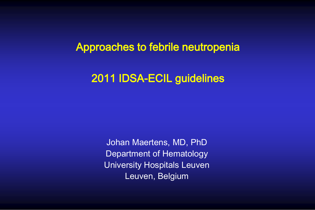### Approaches to febrile neutropenia

## 2011 IDSA-ECIL guidelines

Johan Maertens, MD, PhD Department of Hematology University Hospitals Leuven Leuven, Belgium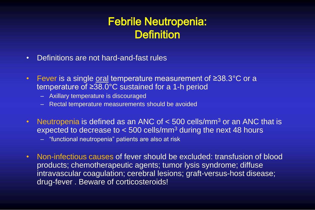## Febrile Neutropenia: **Definition**

- Definitions are not hard-and-fast rules
- Fever is a single oral temperature measurement of ≥38.3°C or a temperature of ≥38.0°C sustained for a 1-h period
	- Axillary temperature is discouraged
	- Rectal temperature measurements should be avoided
- Neutropenia is defined as an ANC of  $<$  500 cells/mm<sup>3</sup> or an ANC that is expected to decrease to  $<$  500 cells/mm<sup>3</sup> during the next 48 hours
	- "functional neutropenia" patients are also at risk
- Non-infectious causes of fever should be excluded: transfusion of blood products; chemotherapeutic agents; tumor lysis syndrome; diffuse intravascular coagulation; cerebral lesions; graft-versus-host disease; drug-fever . Beware of corticosteroids!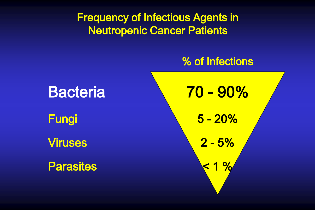Frequency of Infectious Agents in Neutropenic Cancer Patients

## % of Infections

í

Bacteria 10 - 90% Fungi 5 - 20% Viruses 2 - 5% Parasites  $\times$  1 %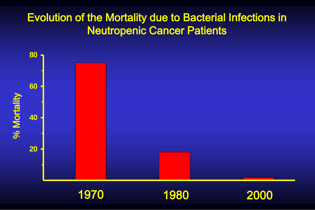## Evolution of the Mortality due to Bacterial Infections in Neutropenic Cancer Patients



1970

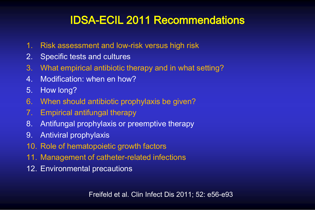# IDSA-ECIL 2011 Recommendations

- 1. Risk assessment and low-risk versus high risk
- 2. Specific tests and cultures
- 3. What empirical antibiotic therapy and in what setting?
- 4. Modification: when en how?
- 5. How long?
- 6. When should antibiotic prophylaxis be given?
- 7. Empirical antifungal therapy
- 8. Antifungal prophylaxis or preemptive therapy
- 9. Antiviral prophylaxis
- 10. Role of hematopoietic growth factors
- 11. Management of catheter-related infections
- 12. Environmental precautions

Freifeld et al. Clin Infect Dis 2011; 52: e56-e93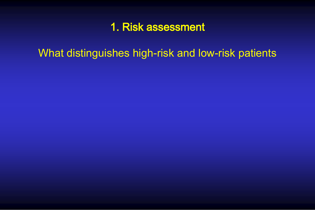## 1. Risk assessment

What distinguishes high-risk and low-risk patients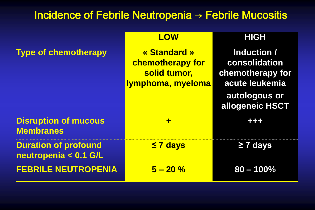## Incidence of Febrile Neutropenia → Febrile Mucositis

|                                                      | LOW                                                                          | <b>HIGH</b>                                                                                            |
|------------------------------------------------------|------------------------------------------------------------------------------|--------------------------------------------------------------------------------------------------------|
| <b>Type of chemotherapy</b>                          | « Standard »<br><b>chemotherapy for</b><br>solid tumor,<br>Iymphoma, myeloma | Induction /<br>consolidation<br>chemotherapy for<br>acute leukemia<br>autologous or<br>allogeneic HSCT |
| <b>Disruption of mucous</b><br><b>Membranes</b>      | ╺╋╸                                                                          |                                                                                                        |
| <b>Duration of profound</b><br>neutropenia < 0.1 G/L | $\leq 7$ days                                                                | $\geq$ 7 days                                                                                          |
| <b>FEBRILE NEUTROPENIA</b>                           | $5 - 20\%$                                                                   | $80 - 100\%$                                                                                           |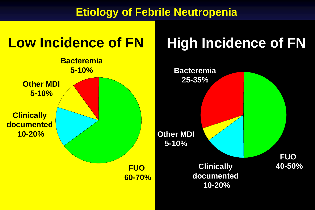## **Etiology of Febrile Neutropenia**

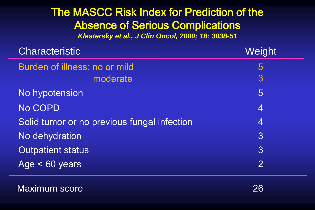## The MASCC Risk Index for Prediction of the Absence of Serious Complications *Klastersky et al., J Clin Oncol, 2000; 18: 3038-51*

| <b>Characteristic</b>                       | Weight         |
|---------------------------------------------|----------------|
| Burden of illness: no or mild               | 5              |
| moderate                                    | 3              |
| No hypotension                              | 5              |
| No COPD                                     | $\overline{4}$ |
| Solid tumor or no previous fungal infection | $\overline{4}$ |
| No dehydration                              | 3              |
| <b>Outpatient status</b>                    | $\overline{3}$ |
| Age $< 60$ years                            | $\overline{2}$ |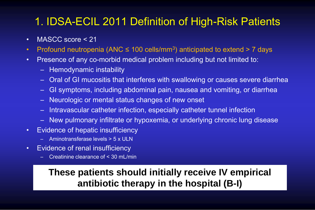# 1. IDSA-ECIL 2011 Definition of High-Risk Patients

- MASCC score < 21
- Profound neutropenia (ANC  $\leq$  100 cells/mm<sup>3</sup>) anticipated to extend > 7 days
- Presence of any co-morbid medical problem including but not limited to:
	- Hemodynamic instability
	- Oral of GI mucositis that interferes with swallowing or causes severe diarrhea
	- GI symptoms, including abdominal pain, nausea and vomiting, or diarrhea
	- Neurologic or mental status changes of new onset
	- Intravascular catheter infection, especially catheter tunnel infection
	- New pulmonary infiltrate or hypoxemia, or underlying chronic lung disease
- Evidence of hepatic insufficiency
	- Aminotransferase levels > 5 x ULN
- Evidence of renal insufficiency
	- Creatinine clearance of < 30 mL/min

## **These patients should initially receive IV empirical antibiotic therapy in the hospital (B-I)**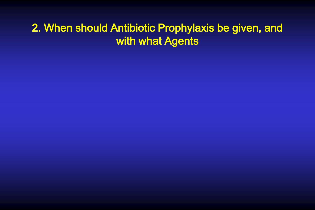## 2. When should Antibiotic Prophylaxis be given, and with what Agents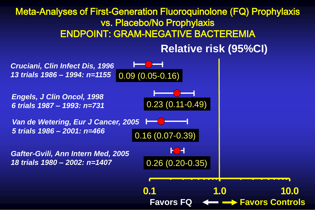#### Meta-Analyses of First-Generation Fluoroquinolone (FQ) Prophylaxis vs. Placebo/No Prophylaxis ENDPOINT: GRAM-NEGATIVE BACTEREMIA

**Relative risk (95%CI)**

*Cruciani, Clin Infect Dis, 1996 13 trials 1986 – 1994: n=1155*   $0.09(0.05 - 0.16)$ *Engels, J Clin Oncol, 1998*  0.23 (0.11-0.49) *6 trials 1987 – 1993: n=731 Van de Wetering, Eur J Cancer, 2005*  æ *5 trials 1986 – 2001: n=466*0.16 (0.07-0.39) K H *Gafter-Gvili, Ann Intern Med, 2005*  0.26 (0.20-0.35) *18 trials 1980 – 2002: n=1407*  **0.1 1.0 10.0 Favors FQ Favors Controls**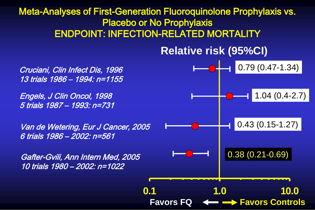#### Meta-Analyses of First-Generation Fluoroquinolone Prophylaxis vs. Placebo or No Prophylaxis ENDPOINT: INFECTION-RELATED MORTALITY

**Relative risk (95%CI)**



13 trials 1986 – 1994: n=1155 Engels, J Clin Oncol, 1998

5 trials 1987 – 1993: n=731

Van de Wetering, Eur J Cancer, 2005 6 trials 1986 – 2002: n=561

Gafter-Gvili, Ann Intern Med, 2005 10 trials 1980 – 2002: n=1022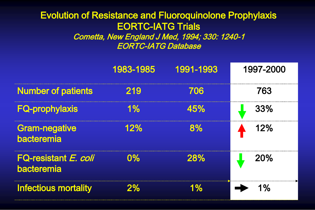#### Evolution of Resistance and Fluoroquinolone Prophylaxis EORTC-IATG Trials Cometta, New England J Med, 1994; 330: 1240-1 EORTC-IATG Database

|                                    | 1983-1985 | 1991-1993  | 1997-2000 |
|------------------------------------|-----------|------------|-----------|
| <b>Number of patients</b>          | 219       | 706        | 763       |
| <b>FQ-prophylaxis</b>              | $1\%$     | 45%        | 33%       |
| <b>Gram-negative</b><br>bacteremia | 12%       | 8%         | 12%       |
| FQ-resistant E. coli<br>bacteremia | $0\%$     | <b>28%</b> | 20%       |
| <b>Infectious mortality</b>        | 2%        | $1\%$      | $1\%$     |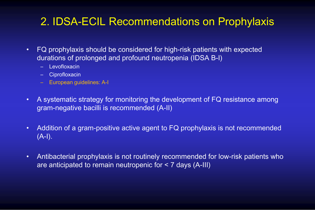## 2. IDSA-ECIL Recommendations on Prophylaxis

- FQ prophylaxis should be considered for high-risk patients with expected durations of prolonged and profound neutropenia (IDSA B-I)
	- Levofloxacin
	- Ciprofloxacin
	- European guidelines: A-I
- A systematic strategy for monitoring the development of FQ resistance among gram-negative bacilli is recommended (A-II)
- Addition of a gram-positive active agent to FQ prophylaxis is not recommended  $(A-I).$
- Antibacterial prophylaxis is not routinely recommended for low-risk patients who are anticipated to remain neutropenic for < 7 days (A-III)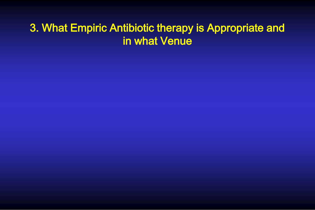## 3. What Empiric Antibiotic therapy is Appropriate and in what Venue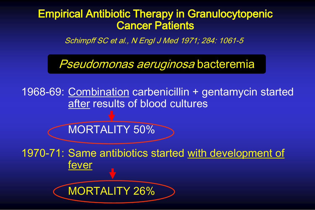## Empirical Antibiotic Therapy in Granulocytopenic Cancer Patients

Schimpff SC et al., N Engl J Med 1971; 284: 1061-5

Pseudomonas aeruginosa bacteremia

1968-69: Combination carbenicillin + gentamycin started after results of blood cultures

MORTALITY 50%

1970-71: Same antibiotics started with development of fever

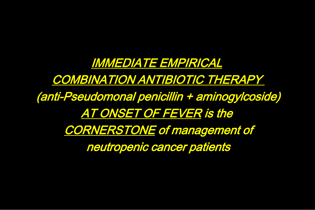IMMEDIATE EMPIRICAL COMBINATION ANTIBIOTIC THERAPY (anti-Pseudomonal penicillin + aminogylcoside) AT ONSET OF FEVER is the CORNERSTONE of management of neutropenic cancer patients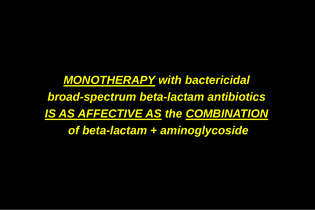*MONOTHERAPY with bactericidal broad-spectrum beta-lactam antibiotics IS AS AFFECTIVE AS the COMBINATION of beta-lactam + aminoglycoside*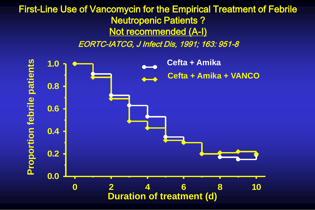### First-Line Use of Vancomycin for the Empirical Treatment of Febrile Neutropenic Patients ? Not recommended (A-I)

EORTC-IATCG, J Infect Dis, 1991; 163: 951-8

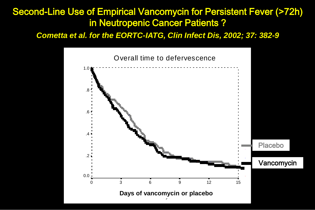#### Second-Line Use of Empirical Vancomycin for Persistent Fever (>72h) in Neutropenic Cancer Patients ?

*Cometta et al. for the EORTC-IATG, Clin Infect Dis, 2002; 37: 382-9*

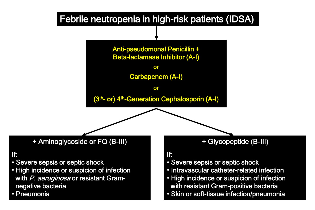

Anti-pseudomonal Penicillin + Beta-lactamase Inhibitor (A-I)

or

Carbapenem (A-I)

or

(3<sup>th</sup>- or) 4<sup>th</sup>-Generation Cephalosporin (A-I)

+ Aminoglycoside or FQ (B-III)

#### If:

- Severe sepsis or septic shock
- High incidence or suspicion of infection with P. aeruginosa or resistant Gramnegative bacteria
- Pneumonia

#### + Glycopeptide (B-III)

#### If:

- Severe sepsis or septic shock
- Intravascular catheter-related infection
- High incidence or suspicion of infection with resistant Gram-positive bacteria
- Skin or soft-tissue infection/pneumonia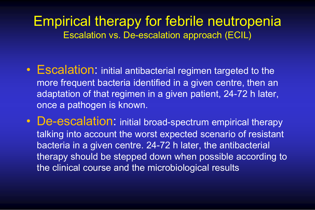# Empirical therapy for febrile neutropenia Escalation vs. De-escalation approach (ECIL)

- Escalation: initial antibacterial regimen targeted to the more frequent bacteria identified in a given centre, then an adaptation of that regimen in a given patient, 24-72 h later, once a pathogen is known.
- De-escalation: initial broad-spectrum empirical therapy talking into account the worst expected scenario of resistant bacteria in a given centre. 24-72 h later, the antibacterial therapy should be stepped down when possible according to the clinical course and the microbiological results